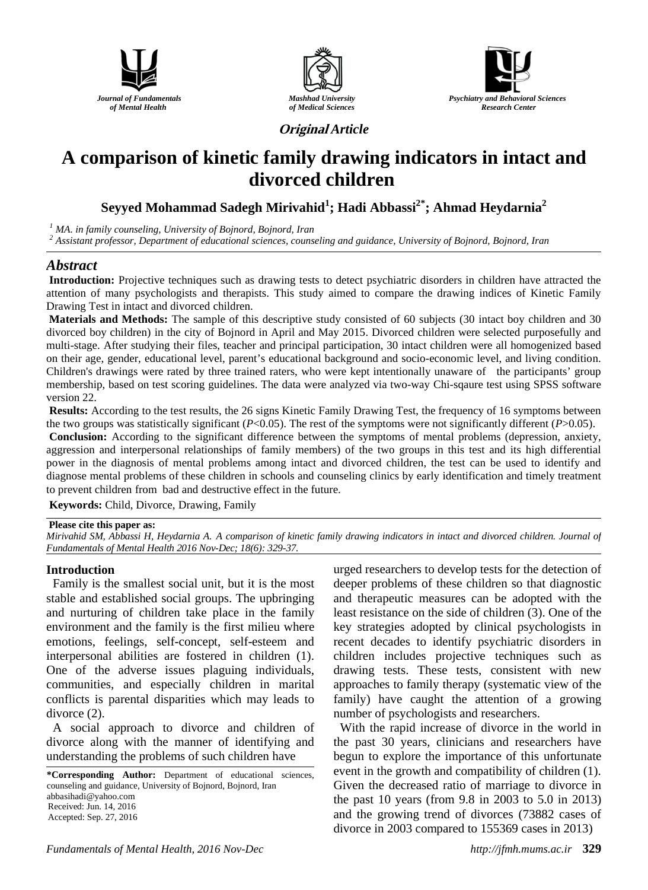





**Original** *Article*

# **A comparison of kinetic family drawing indicators in intact and divorced children**

 $S$ eyyed Mohammad Sadegh Mirivahid $^1$ ; Hadi Abbassi $^{2^*}$ ; Ahmad Heydarnia $^2$ 

*<sup>1</sup> MA. in family counseling, University of Bojnord, Bojnord, Iran*

*<sup>2</sup> Assistant professor, Department of educational sciences, counseling and guidance, University of Bojnord, Bojnord, Iran*

# *Abstract*

**Introduction:** Projective techniques such as drawing tests to detect psychiatric disorders in children have attracted the attention of many psychologists and therapists. This study aimed to compare the drawing indices of Kinetic Family Drawing Test in intact and divorced children.

**Materials and Methods:** The sample of this descriptive study consisted of 60 subjects (30 intact boy children and 30 divorced boy children) in the city of Bojnord in April and May 2015. Divorced children were selected purposefully and multi-stage. After studying their files, teacher and principal participation, 30 intact children were all homogenized based on their age, gender, educational level, parent's educational background and socio-economic level, and living condition. Children's drawings were rated by three trained raters, who were kept intentionally unaware of the participants' group membership, based on test scoring guidelines. The data were analyzed via two-way Chi-sqaure test using SPSS software version 22.

**Results:** According to the test results, the 26 signs Kinetic Family Drawing Test, the frequency of 16 symptoms between the two groups was statistically significant  $(P<0.05)$ . The rest of the symptoms were not significantly different  $(P>0.05)$ .

**Conclusion:** According to the significant difference between the symptoms of mental problems (depression, anxiety, aggression and interpersonal relationships of family members) of the two groups in this test and its high differential power in the diagnosis of mental problems among intact and divorced children, the test can be used to identify and diagnose mental problems of these children in schools and counseling clinics by early identification and timely treatment to prevent children from bad and destructive effect in the future.

**Keywords:** Child, Divorce, Drawing, Family

#### **Please cite this paper as:**

*Mirivahid SM, Abbassi H, Heydarnia A. A comparison of kinetic family drawing indicators in intact and divorced children. Journal of Fundamentals of Mental Health 2016 Nov-Dec; 18(6): 329-37.*

## **Introduction**

Family is the smallest social unit, but it is the most stable and established social groups. The upbringing and nurturing of children take place in the family environment and the family is the first milieu where emotions, feelings, self-concept, self-esteem and interpersonal abilities are fostered in children (1). One of the adverse issues plaguing individuals, communities, and especially children in marital conflicts is parental disparities which may leads to divorce (2).

A social approach to divorce and children of divorce along with the manner of identifying and understanding the problems of such children have

**\*Corresponding Author:** Department of educational sciences, counseling and guidance, University of Bojnord, Bojnord, Iran abbasihadi@yahoo.com Received: Jun. 14, 2016 Accepted: Sep. 27, 2016

urged researchers to develop tests for the detection of deeper problems of these children so that diagnostic and therapeutic measures can be adopted with the least resistance on the side of children (3). One of the key strategies adopted by clinical psychologists in recent decades to identify psychiatric disorders in children includes projective techniques such as drawing tests. These tests, consistent with new approaches to family therapy (systematic view of the family) have caught the attention of a growing number of psychologists and researchers.

With the rapid increase of divorce in the world in the past 30 years, clinicians and researchers have begun to explore the importance of this unfortunate event in the growth and compatibility of children (1). Given the decreased ratio of marriage to divorce in the past 10 years (from 9.8 in 2003 to 5.0 in 2013) and the growing trend of divorces (73882 cases of divorce in 2003 compared to 155369 cases in 2013)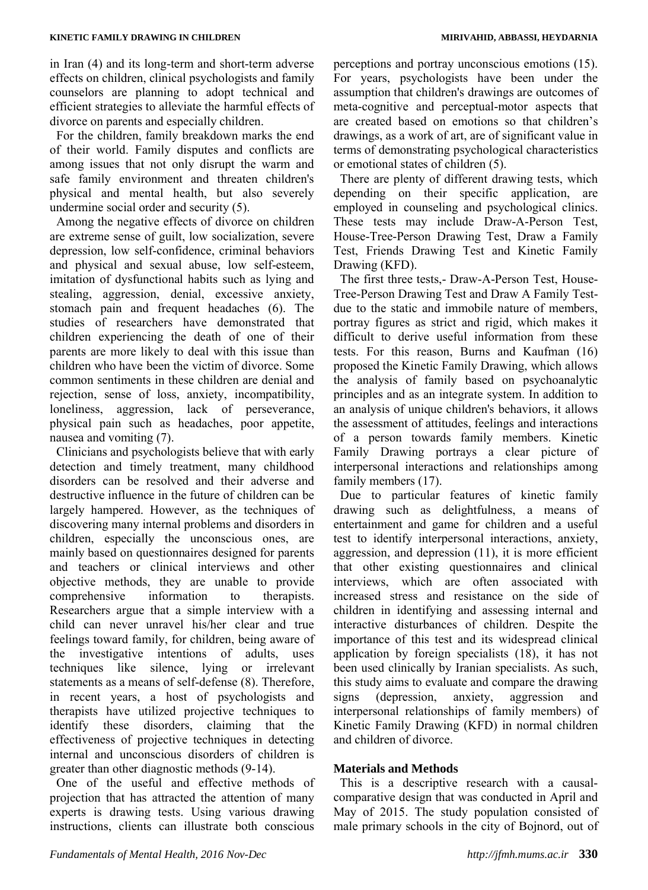in Iran (4) and its long-term and short-term adverse effects on children, clinical psychologists and family counselors are planning to adopt technical and efficient strategies to alleviate the harmful effects of divorce on parents and especially children.

For the children, family breakdown marks the end of their world. Family disputes and conflicts are among issues that not only disrupt the warm and safe family environment and threaten children's physical and mental health, but also severely undermine social order and security (5).

Among the negative effects of divorce on children are extreme sense of guilt, low socialization, severe depression, low self-confidence, criminal behaviors and physical and sexual abuse, low self-esteem, imitation of dysfunctional habits such as lying and stealing, aggression, denial, excessive anxiety, stomach pain and frequent headaches (6). The studies of researchers have demonstrated that children experiencing the death of one of their parents are more likely to deal with this issue than children who have been the victim of divorce. Some common sentiments in these children are denial and rejection, sense of loss, anxiety, incompatibility, loneliness, aggression, lack of perseverance, physical pain such as headaches, poor appetite, nausea and vomiting (7).

Clinicians and psychologists believe that with early detection and timely treatment, many childhood disorders can be resolved and their adverse and destructive influence in the future of children can be largely hampered. However, as the techniques of discovering many internal problems and disorders in children, especially the unconscious ones, are mainly based on questionnaires designed for parents and teachers or clinical interviews and other objective methods, they are unable to provide comprehensive information to therapists. Researchers argue that a simple interview with a child can never unravel his/her clear and true feelings toward family, for children, being aware of the investigative intentions of adults, uses techniques like silence, lying or irrelevant statements as a means of self-defense (8). Therefore, in recent years, a host of psychologists and therapists have utilized projective techniques to identify these disorders, claiming that the effectiveness of projective techniques in detecting internal and unconscious disorders of children is greater than other diagnostic methods (9-14).

One of the useful and effective methods of projection that has attracted the attention of many experts is drawing tests. Using various drawing instructions, clients can illustrate both conscious

perceptions and portray unconscious emotions (15). For years, psychologists have been under the assumption that children's drawings are outcomes of meta-cognitive and perceptual-motor aspects that are created based on emotions so that children's drawings, as a work of art, are of significant value in terms of demonstrating psychological characteristics or emotional states of children (5).

There are plenty of different drawing tests, which depending on their specific application, are employed in counseling and psychological clinics. These tests may include Draw-A-Person Test, House-Tree-Person Drawing Test, Draw a Family Test, Friends Drawing Test and Kinetic Family Drawing (KFD).

The first three tests,- Draw-A-Person Test, House-Tree-Person Drawing Test and Draw A Family Testdue to the static and immobile nature of members, portray figures as strict and rigid, which makes it difficult to derive useful information from these tests. For this reason, Burns and Kaufman (16) proposed the Kinetic Family Drawing, which allows the analysis of family based on psychoanalytic principles and as an integrate system. In addition to an analysis of unique children's behaviors, it allows the assessment of attitudes, feelings and interactions of a person towards family members. Kinetic Family Drawing portrays a clear picture of interpersonal interactions and relationships among family members (17).

Due to particular features of kinetic family drawing such as delightfulness, a means of entertainment and game for children and a useful test to identify interpersonal interactions, anxiety, aggression, and depression (11), it is more efficient that other existing questionnaires and clinical interviews, which are often associated with increased stress and resistance on the side of children in identifying and assessing internal and interactive disturbances of children. Despite the importance of this test and its widespread clinical application by foreign specialists (18), it has not been used clinically by Iranian specialists. As such, this study aims to evaluate and compare the drawing signs (depression, anxiety, aggression and interpersonal relationships of family members) of Kinetic Family Drawing (KFD) in normal children and children of divorce.

## **Materials and Methods**

This is a descriptive research with a causalcomparative design that was conducted in April and May of 2015. The study population consisted of male primary schools in the city of Bojnord, out of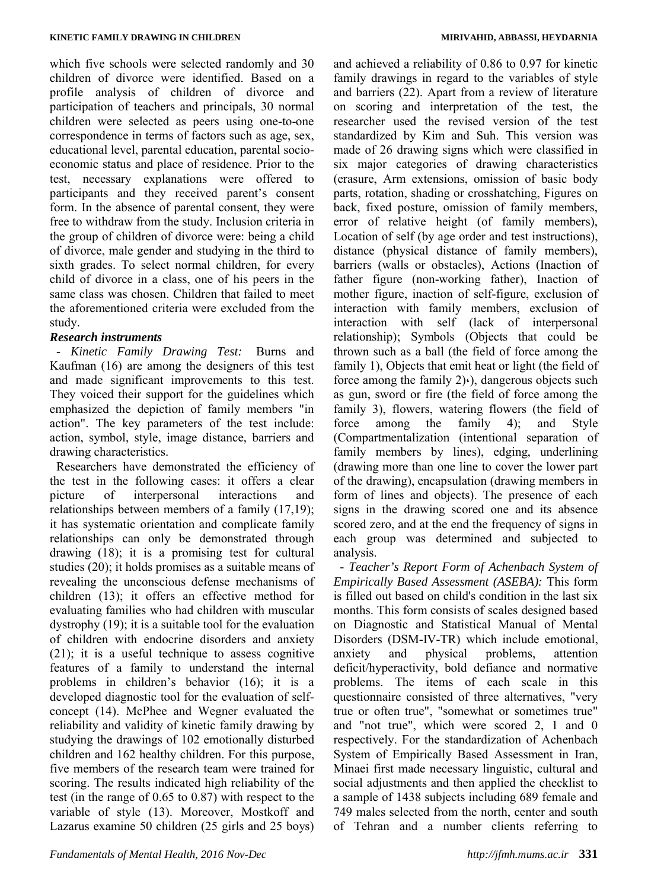which five schools were selected randomly and 30 children of divorce were identified. Based on a profile analysis of children of divorce and participation of teachers and principals, 30 normal children were selected as peers using one-to-one correspondence in terms of factors such as age, sex, educational level, parental education, parental socioeconomic status and place of residence. Prior to the test, necessary explanations were offered to participants and they received parent's consent form. In the absence of parental consent, they were free to withdraw from the study. Inclusion criteria in the group of children of divorce were: being a child of divorce, male gender and studying in the third to sixth grades. To select normal children, for every child of divorce in a class, one of his peers in the same class was chosen. Children that failed to meet the aforementioned criteria were excluded from the study.

## *Research instruments*

*- Kinetic Family Drawing Test:* Burns and Kaufman (16) are among the designers of this test and made significant improvements to this test. They voiced their support for the guidelines which emphasized the depiction of family members "in action". The key parameters of the test include: action, symbol, style, image distance, barriers and drawing characteristics.

Researchers have demonstrated the efficiency of the test in the following cases: it offers a clear picture of interpersonal interactions and relationships between members of a family (17,19); it has systematic orientation and complicate family relationships can only be demonstrated through drawing (18); it is a promising test for cultural studies (20); it holds promises as a suitable means of revealing the unconscious defense mechanisms of children (13); it offers an effective method for evaluating families who had children with muscular dystrophy (19); it is a suitable tool for the evaluation of children with endocrine disorders and anxiety (21); it is a useful technique to assess cognitive features of a family to understand the internal problems in children's behavior (16); it is a developed diagnostic tool for the evaluation of selfconcept (14). McPhee and Wegner evaluated the reliability and validity of kinetic family drawing by studying the drawings of 102 emotionally disturbed children and 162 healthy children. For this purpose, five members of the research team were trained for scoring. The results indicated high reliability of the test (in the range of 0.65 to 0.87) with respect to the variable of style (13). Moreover, Mostkoff and Lazarus examine 50 children (25 girls and 25 boys)

and achieved a reliability of 0.86 to 0.97 for kinetic family drawings in regard to the variables of style and barriers (22). Apart from a review of literature on scoring and interpretation of the test, the researcher used the revised version of the test standardized by Kim and Suh. This version was made of 26 drawing signs which were classified in six major categories of drawing characteristics (erasure, Arm extensions, omission of basic body parts, rotation, shading or crosshatching, Figures on back, fixed posture, omission of family members, error of relative height (of family members), Location of self (by age order and test instructions), distance (physical distance of family members), barriers (walls or obstacles), Actions (Inaction of father figure (non-working father), Inaction of mother figure, inaction of self-figure, exclusion of interaction with family members, exclusion of interaction with self (lack of interpersonal relationship); Symbols (Objects that could be thrown such as a ball (the field of force among the family 1), Objects that emit heat or light (the field of force among the family  $2)$ .), dangerous objects such as gun, sword or fire (the field of force among the family 3), flowers, watering flowers (the field of force among the family 4); and Style (Compartmentalization (intentional separation of family members by lines), edging, underlining (drawing more than one line to cover the lower part of the drawing), encapsulation (drawing members in form of lines and objects). The presence of each signs in the drawing scored one and its absence scored zero, and at the end the frequency of signs in each group was determined and subjected to analysis.

*- Teacher's Report Form of Achenbach System of Empirically Based Assessment (ASEBA):* This form is filled out based on child's condition in the last six months. This form consists of scales designed based on Diagnostic and Statistical Manual of Mental Disorders (DSM-IV-TR) which include emotional, anxiety and physical problems, attention deficit/hyperactivity, bold defiance and normative problems. The items of each scale in this questionnaire consisted of three alternatives, "very true or often true", "somewhat or sometimes true" and "not true", which were scored 2, 1 and 0 respectively. For the standardization of Achenbach System of Empirically Based Assessment in Iran, Minaei first made necessary linguistic, cultural and social adjustments and then applied the checklist to a sample of 1438 subjects including 689 female and 749 males selected from the north, center and south of Tehran and a number clients referring to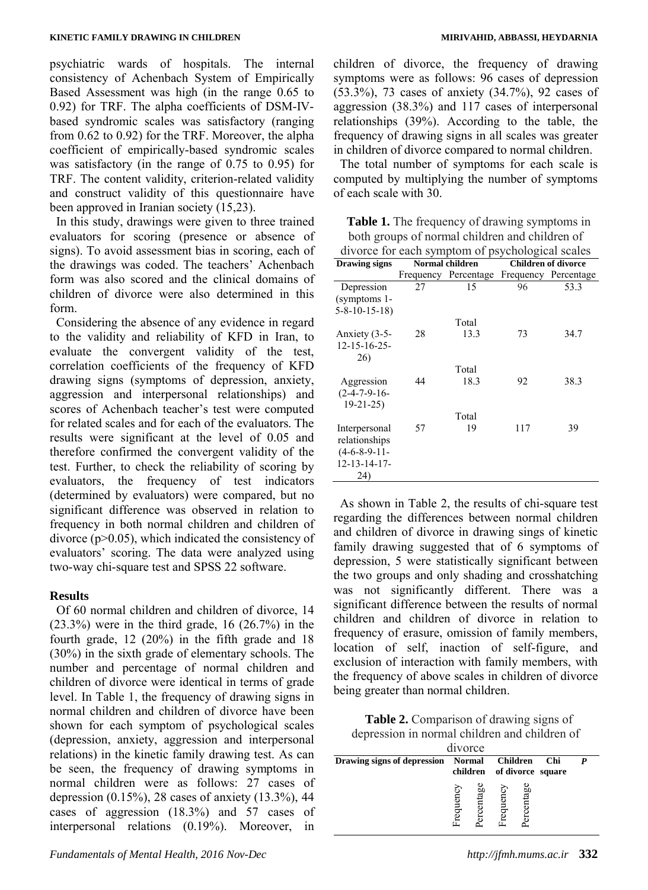psychiatric wards of hospitals. The internal consistency of Achenbach System of Empirically Based Assessment was high (in the range 0.65 to 0.92) for TRF. The alpha coefficients of DSM-IVbased syndromic scales was satisfactory (ranging from 0.62 to 0.92) for the TRF. Moreover, the alpha coefficient of empirically-based syndromic scales was satisfactory (in the range of 0.75 to 0.95) for TRF. The content validity, criterion-related validity and construct validity of this questionnaire have been approved in Iranian society (15,23).

In this study, drawings were given to three trained evaluators for scoring (presence or absence of signs). To avoid assessment bias in scoring, each of the drawings was coded. The teachers' Achenbach form was also scored and the clinical domains of children of divorce were also determined in this form.

Considering the absence of any evidence in regard to the validity and reliability of KFD in Iran, to evaluate the convergent validity of the test, correlation coefficients of the frequency of KFD drawing signs (symptoms of depression, anxiety, aggression and interpersonal relationships) and scores of Achenbach teacher's test were computed for related scales and for each of the evaluators. The results were significant at the level of 0.05 and therefore confirmed the convergent validity of the test. Further, to check the reliability of scoring by evaluators, the frequency of test indicators (determined by evaluators) were compared, but no significant difference was observed in relation to frequency in both normal children and children of divorce  $(p>0.05)$ , which indicated the consistency of evaluators' scoring. The data were analyzed using two-way chi-square test and SPSS 22 software.

# **Results**

Of 60 normal children and children of divorce, 14  $(23.3\%)$  were in the third grade, 16  $(26.7\%)$  in the fourth grade, 12 (20%) in the fifth grade and 18 (30%) in the sixth grade of elementary schools. The number and percentage of normal children and children of divorce were identical in terms of grade level. In Table 1, the frequency of drawing signs in normal children and children of divorce have been shown for each symptom of psychological scales (depression, anxiety, aggression and interpersonal relations) in the kinetic family drawing test. As can be seen, the frequency of drawing symptoms in normal children were as follows: 27 cases of depression (0.15%), 28 cases of anxiety (13.3%), 44 cases of aggression (18.3%) and 57 cases of interpersonal relations (0.19%). Moreover, in children of divorce, the frequency of drawing symptoms were as follows: 96 cases of depression (53.3%), 73 cases of anxiety (34.7%), 92 cases of aggression (38.3%) and 117 cases of interpersonal relationships (39%). According to the table, the frequency of drawing signs in all scales was greater in children of divorce compared to normal children.

The total number of symptoms for each scale is computed by multiplying the number of symptoms of each scale with 30.

**Table 1.** The frequency of drawing symptoms in both groups of normal children and children of divorce for each symptom of psychological scales

| alvoice for each symptom of psychological searcs                        |    |                                           |     |                            |  |  |  |
|-------------------------------------------------------------------------|----|-------------------------------------------|-----|----------------------------|--|--|--|
| <b>Drawing signs</b>                                                    |    | <b>Normal children</b>                    |     | <b>Children of divorce</b> |  |  |  |
|                                                                         |    | Frequency Percentage Frequency Percentage |     |                            |  |  |  |
| Depression<br>(symptoms 1-                                              | 27 | 15                                        | 96  | 53.3                       |  |  |  |
| $5 - 8 - 10 - 15 - 18$                                                  |    |                                           |     |                            |  |  |  |
|                                                                         |    | Total                                     |     |                            |  |  |  |
| Anxiety (3-5-<br>$12 - 15 - 16 - 25$<br>26)                             | 28 | 13.3                                      | 73  | 34.7                       |  |  |  |
|                                                                         |    | Total                                     |     |                            |  |  |  |
| Aggression<br>$(2-4-7-9-16-$<br>$19 - 21 - 25$                          | 44 | 18.3                                      | 92  | 38.3                       |  |  |  |
|                                                                         |    | Total                                     |     |                            |  |  |  |
| Interpersonal<br>relationships<br>$(4-6-8-9-11-$<br>12-13-14-17-<br>24) | 57 | 19                                        | 117 | 39                         |  |  |  |

As shown in Table 2, the results of chi-square test regarding the differences between normal children and children of divorce in drawing sings of kinetic family drawing suggested that of 6 symptoms of depression, 5 were statistically significant between the two groups and only shading and crosshatching was not significantly different. There was a significant difference between the results of normal children and children of divorce in relation to frequency of erasure, omission of family members, location of self, inaction of self-figure, and exclusion of interaction with family members, with the frequency of above scales in children of divorce being greater than normal children.

**Table 2.** Comparison of drawing signs of depression in normal children and children of

| divorce                                     |        |   |     |     |                                   |  |  |  |
|---------------------------------------------|--------|---|-----|-----|-----------------------------------|--|--|--|
| Drawing signs of depression Normal Children |        |   |     |     | Chi<br>children of divorce square |  |  |  |
|                                             | requen | æ | enc | .ag |                                   |  |  |  |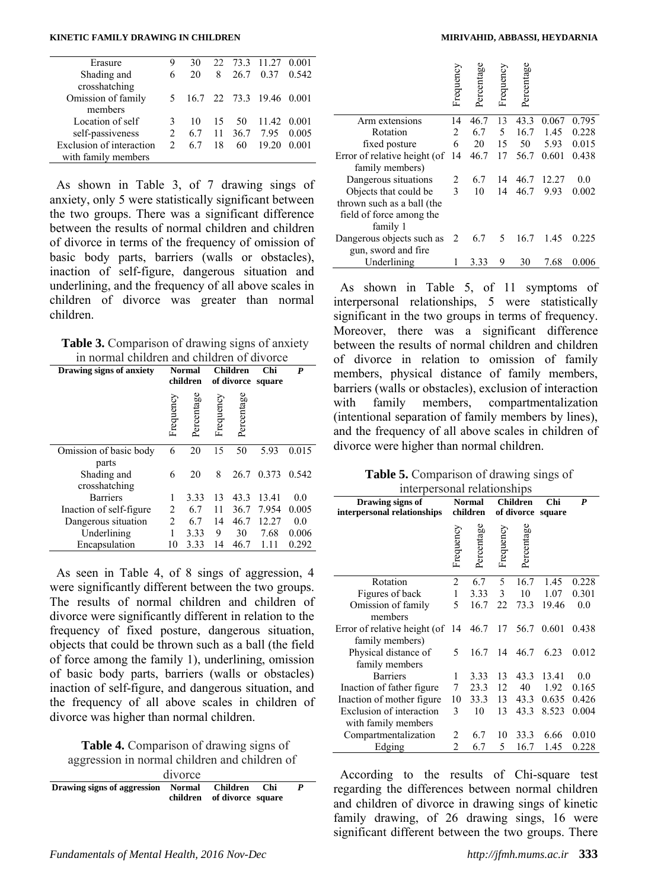#### **KINETIC FAMILY DRAWING IN CHILDREN MIRIVAHID, ABBASSI, HEYDARNIA**

| 9                           | 30 |    |    |       |                                                                                                      |
|-----------------------------|----|----|----|-------|------------------------------------------------------------------------------------------------------|
| 6                           | 20 | 8  |    |       | 0.542                                                                                                |
|                             |    |    |    |       |                                                                                                      |
|                             |    |    |    |       |                                                                                                      |
|                             |    |    |    |       |                                                                                                      |
| 3                           | 10 |    | 50 |       |                                                                                                      |
| $\mathfrak{D}$              |    |    |    |       | 0.005                                                                                                |
| $\mathcal{D}_{\mathcal{A}}$ | 67 | 18 | 60 | 19 20 | 0.001                                                                                                |
|                             |    |    |    |       |                                                                                                      |
|                             |    |    |    | 15    | 22 73.3 11.27 0.001<br>0.37<br>26.7<br>5 16.7 22 73.3 19.46 0.001<br>11.42 0.001<br>6.7 11 36.7 7.95 |

As shown in Table 3, of 7 drawing sings of anxiety, only 5 were statistically significant between the two groups. There was a significant difference between the results of normal children and children of divorce in terms of the frequency of omission of basic body parts, barriers (walls or obstacles), inaction of self-figure, dangerous situation and underlining, and the frequency of all above scales in children of divorce was greater than normal children.

**Table 3.** Comparison of drawing signs of anxiety in normal children and children of divorce

| Drawing signs of anxiety |                | Normal<br>children | <b>Children</b><br>of divorce square |            | Chi   | P     |
|--------------------------|----------------|--------------------|--------------------------------------|------------|-------|-------|
|                          | Frequency      | Percentage         | Frequency                            | Percentage |       |       |
| Omission of basic body   | 6              | 20                 | 15                                   | 50         | 5.93  | 0.015 |
| parts                    |                |                    |                                      |            |       |       |
| Shading and              | 6              | 20                 | 8                                    | 26.7       | 0.373 | 0.542 |
| crosshatching            |                |                    |                                      |            |       |       |
| <b>Barriers</b>          | 1              | 3.33               | 13                                   | 43.3       | 13.41 | 0.0   |
| Inaction of self-figure  | 2              | 6.7                | 11                                   | 36.7       | 7.954 | 0.005 |
| Dangerous situation      | $\overline{2}$ | 6.7                | 14                                   | 46.7       | 12.27 | 0.0   |
| Underlining              | 1              | 3.33               | 9                                    | 30         | 7.68  | 0.006 |
| Encapsulation            | 10             | 3.33               | 14                                   | 46.7       | 1.11  | 0.292 |

As seen in Table 4, of 8 sings of aggression, 4 were significantly different between the two groups. The results of normal children and children of divorce were significantly different in relation to the frequency of fixed posture, dangerous situation, objects that could be thrown such as a ball (the field of force among the family 1), underlining, omission of basic body parts, barriers (walls or obstacles) inaction of self-figure, and dangerous situation, and the frequency of all above scales in children of divorce was higher than normal children.

**Table 4.** Comparison of drawing signs of aggression in normal children and children of

| agglession in normal children and children of   |  |                            |  |  |  |  |  |  |
|-------------------------------------------------|--|----------------------------|--|--|--|--|--|--|
| divorce                                         |  |                            |  |  |  |  |  |  |
| Drawing signs of aggression Normal Children Chi |  | children of divorce square |  |  |  |  |  |  |

|                              | Frequency | Percentage | Frequency | Percentage |       |       |
|------------------------------|-----------|------------|-----------|------------|-------|-------|
| Arm extensions               | 14        | 46.7       | 13        | 43.3       | 0.067 | 0.795 |
| Rotation                     | 2         | 6.7        | 5         | 16.7       | 1.45  | 0.228 |
| fixed posture                | 6         | 20         | 15        | 50         | 5.93  | 0.015 |
| Error of relative height (of | 14        | 46.7       | 17        | 56.7       | 0.601 | 0.438 |
| family members)              |           |            |           |            |       |       |
| Dangerous situations         | 2         | 6.7        | 14        | 46.7       | 12.27 | 0.0   |
| Objects that could be        | 3         | 10         | 14        | 46.7       | 9.93  | 0.002 |
| thrown such as a ball (the   |           |            |           |            |       |       |
| field of force among the     |           |            |           |            |       |       |
| family 1                     |           |            |           |            |       |       |
| Dangerous objects such as    | 2         | 6.7        | 5         | 16.7       | 1.45  | 0.225 |
| gun, sword and fire          |           |            |           |            |       |       |
| Underlining                  | 1         | 3.33       | 9         | 30         | 7.68  | 0.006 |

As shown in Table 5, of 11 symptoms of interpersonal relationships, 5 were statistically significant in the two groups in terms of frequency. Moreover, there was a significant difference between the results of normal children and children of divorce in relation to omission of family members, physical distance of family members, barriers (walls or obstacles), exclusion of interaction with family members, compartmentalization (intentional separation of family members by lines), and the frequency of all above scales in children of divorce were higher than normal children.

|  | <b>Table 5.</b> Comparison of drawing sings of |  |  |  |
|--|------------------------------------------------|--|--|--|
|  | interpersonal relationships                    |  |  |  |

| mici personar relationships  |                |               |            |                 |        |       |  |  |
|------------------------------|----------------|---------------|------------|-----------------|--------|-------|--|--|
| Drawing signs of             |                | <b>Normal</b> |            | <b>Children</b> | Chi    | P     |  |  |
| interpersonal relationships  |                | children      | of divorce |                 | square |       |  |  |
|                              | Frequency      | Percentage    | Frequency  | Percentage      |        |       |  |  |
| Rotation                     | $\overline{c}$ | 6.7           | 5          | 16.7            | 1.45   | 0.228 |  |  |
| Figures of back              | $\mathbf{1}$   | 3.33          | 3          | 10              | 1.07   | 0.301 |  |  |
| Omission of family           | 5              | 16.7          | 22         | 73.3            | 19.46  | 0.0   |  |  |
| members                      |                |               |            |                 |        |       |  |  |
| Error of relative height (of | 14             | 46.7          | 17         | 56.7            | 0.601  | 0.438 |  |  |
| family members)              |                |               |            |                 |        |       |  |  |
| Physical distance of         | 5              | 16.7          | 14         | 46.7            | 6.23   | 0.012 |  |  |
| family members               |                |               |            |                 |        |       |  |  |
| <b>Barriers</b>              | 1              | 3.33          | 13         | 43.3            | 13.41  | 0.0   |  |  |
| Inaction of father figure.   | 7              | 23.3          | 12         | 40              | 1.92   | 0.165 |  |  |
| Inaction of mother figure    | 10             | 33.3          | 13         | 43.3            | 0.635  | 0.426 |  |  |
| Exclusion of interaction     | 3              | 10            | 13         | 43.3            | 8.523  | 0.004 |  |  |
| with family members          |                |               |            |                 |        |       |  |  |
| Compartmentalization         | 2              | 6.7           | 10         | 33.3            | 6.66   | 0.010 |  |  |
| Edging                       | 2              | 6.7           | 5          | 16.7            | 1.45   | 0.228 |  |  |

According to the results of Chi-square test regarding the differences between normal children and children of divorce in drawing sings of kinetic family drawing, of 26 drawing sings, 16 were significant different between the two groups. There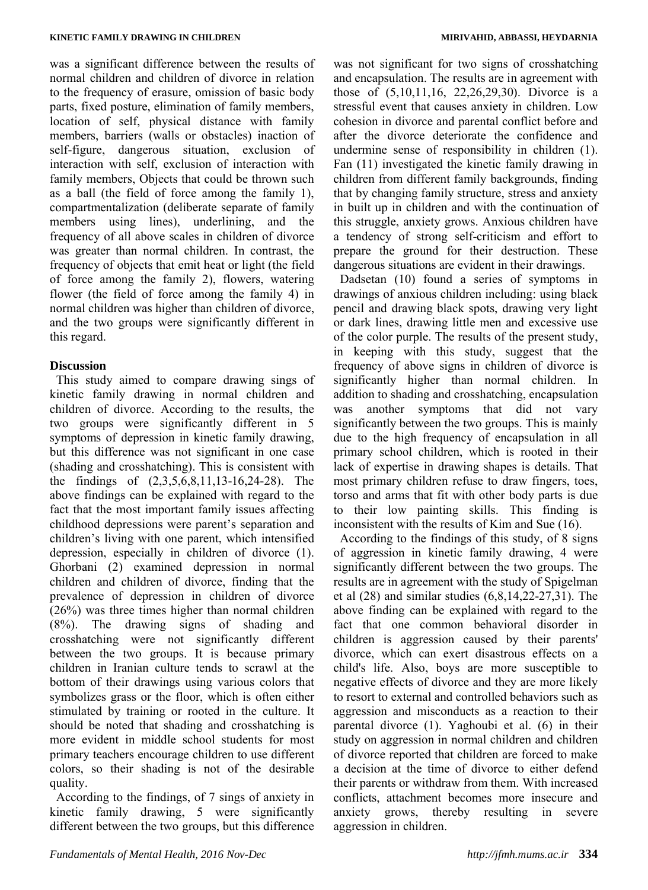was a significant difference between the results of normal children and children of divorce in relation to the frequency of erasure, omission of basic body parts, fixed posture, elimination of family members, location of self, physical distance with family members, barriers (walls or obstacles) inaction of self-figure, dangerous situation, exclusion of interaction with self, exclusion of interaction with family members, Objects that could be thrown such as a ball (the field of force among the family 1), compartmentalization (deliberate separate of family members using lines), underlining, and the frequency of all above scales in children of divorce was greater than normal children. In contrast, the frequency of objects that emit heat or light (the field of force among the family 2), flowers, watering flower (the field of force among the family 4) in normal children was higher than children of divorce, and the two groups were significantly different in this regard.

#### **Discussion**

This study aimed to compare drawing sings of kinetic family drawing in normal children and children of divorce. According to the results, the two groups were significantly different in 5 symptoms of depression in kinetic family drawing, but this difference was not significant in one case (shading and crosshatching). This is consistent with the findings of (2,3,5,6,8,11,13-16,24-28). The above findings can be explained with regard to the fact that the most important family issues affecting childhood depressions were parent's separation and children's living with one parent, which intensified depression, especially in children of divorce (1). Ghorbani (2) examined depression in normal children and children of divorce, finding that the prevalence of depression in children of divorce (26%) was three times higher than normal children (8%). The drawing signs of shading and crosshatching were not significantly different between the two groups. It is because primary children in Iranian culture tends to scrawl at the bottom of their drawings using various colors that symbolizes grass or the floor, which is often either stimulated by training or rooted in the culture. It should be noted that shading and crosshatching is more evident in middle school students for most primary teachers encourage children to use different colors, so their shading is not of the desirable quality.

According to the findings, of 7 sings of anxiety in kinetic family drawing, 5 were significantly different between the two groups, but this difference was not significant for two signs of crosshatching and encapsulation. The results are in agreement with those of (5,10,11,16, 22,26,29,30). Divorce is a stressful event that causes anxiety in children. Low cohesion in divorce and parental conflict before and after the divorce deteriorate the confidence and undermine sense of responsibility in children (1). Fan (11) investigated the kinetic family drawing in children from different family backgrounds, finding that by changing family structure, stress and anxiety in built up in children and with the continuation of this struggle, anxiety grows. Anxious children have a tendency of strong self-criticism and effort to prepare the ground for their destruction. These dangerous situations are evident in their drawings.

Dadsetan (10) found a series of symptoms in drawings of anxious children including: using black pencil and drawing black spots, drawing very light or dark lines, drawing little men and excessive use of the color purple. The results of the present study, in keeping with this study, suggest that the frequency of above signs in children of divorce is significantly higher than normal children. In addition to shading and crosshatching, encapsulation was another symptoms that did not vary significantly between the two groups. This is mainly due to the high frequency of encapsulation in all primary school children, which is rooted in their lack of expertise in drawing shapes is details. That most primary children refuse to draw fingers, toes, torso and arms that fit with other body parts is due to their low painting skills. This finding is inconsistent with the results of Kim and Sue (16).

According to the findings of this study, of 8 signs of aggression in kinetic family drawing, 4 were significantly different between the two groups. The results are in agreement with the study of Spigelman et al (28) and similar studies (6,8,14,22-27,31). The above finding can be explained with regard to the fact that one common behavioral disorder in children is aggression caused by their parents' divorce, which can exert disastrous effects on a child's life. Also, boys are more susceptible to negative effects of divorce and they are more likely to resort to external and controlled behaviors such as aggression and misconducts as a reaction to their parental divorce (1). Yaghoubi et al. (6) in their study on aggression in normal children and children of divorce reported that children are forced to make a decision at the time of divorce to either defend their parents or withdraw from them. With increased conflicts, attachment becomes more insecure and anxiety grows, thereby resulting in severe aggression in children.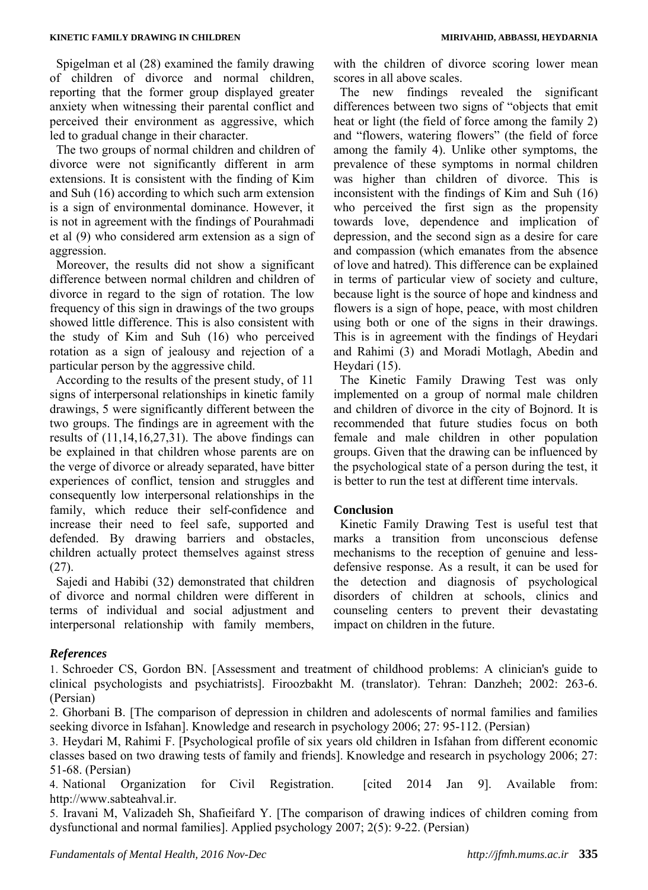Spigelman et al (28) examined the family drawing of children of divorce and normal children, reporting that the former group displayed greater anxiety when witnessing their parental conflict and perceived their environment as aggressive, which led to gradual change in their character.

The two groups of normal children and children of divorce were not significantly different in arm extensions. It is consistent with the finding of Kim and Suh (16) according to which such arm extension is a sign of environmental dominance. However, it is not in agreement with the findings of Pourahmadi et al (9) who considered arm extension as a sign of aggression.

Moreover, the results did not show a significant difference between normal children and children of divorce in regard to the sign of rotation. The low frequency of this sign in drawings of the two groups showed little difference. This is also consistent with the study of Kim and Suh (16) who perceived rotation as a sign of jealousy and rejection of a particular person by the aggressive child.

According to the results of the present study, of 11 signs of interpersonal relationships in kinetic family drawings, 5 were significantly different between the two groups. The findings are in agreement with the results of (11,14,16,27,31). The above findings can be explained in that children whose parents are on the verge of divorce or already separated, have bitter experiences of conflict, tension and struggles and consequently low interpersonal relationships in the family, which reduce their self-confidence and increase their need to feel safe, supported and defended. By drawing barriers and obstacles, children actually protect themselves against stress (27).

Sajedi and Habibi (32) demonstrated that children of divorce and normal children were different in terms of individual and social adjustment and interpersonal relationship with family members,

with the children of divorce scoring lower mean scores in all above scales.

The new findings revealed the significant differences between two signs of "objects that emit heat or light (the field of force among the family 2) and "flowers, watering flowers" (the field of force among the family 4). Unlike other symptoms, the prevalence of these symptoms in normal children was higher than children of divorce. This is inconsistent with the findings of Kim and Suh (16) who perceived the first sign as the propensity towards love, dependence and implication of depression, and the second sign as a desire for care and compassion (which emanates from the absence of love and hatred). This difference can be explained in terms of particular view of society and culture, because light is the source of hope and kindness and flowers is a sign of hope, peace, with most children using both or one of the signs in their drawings. This is in agreement with the findings of Heydari and Rahimi (3) and Moradi Motlagh, Abedin and Heydari (15).

The Kinetic Family Drawing Test was only implemented on a group of normal male children and children of divorce in the city of Bojnord. It is recommended that future studies focus on both female and male children in other population groups. Given that the drawing can be influenced by the psychological state of a person during the test, it is better to run the test at different time intervals.

# **Conclusion**

Kinetic Family Drawing Test is useful test that marks a transition from unconscious defense mechanisms to the reception of genuine and lessdefensive response. As a result, it can be used for the detection and diagnosis of psychological disorders of children at schools, clinics and counseling centers to prevent their devastating impact on children in the future.

# *References*

1. Schroeder CS, Gordon BN. [Assessment and treatment of childhood problems: A clinician's guide to clinical psychologists and psychiatrists]. Firoozbakht M. (translator). Tehran: Danzheh; 2002: 263-6. (Persian)

2. Ghorbani B. [The comparison of depression in children and adolescents of normal families and families seeking divorce in Isfahan]. Knowledge and research in psychology 2006; 27: 95-112. (Persian)

3. Heydari M, Rahimi F. [Psychological profile of six years old children in Isfahan from different economic classes based on two drawing tests of family and friends]. Knowledge and research in psychology 2006; 27: 51-68. (Persian)

4. National Organization for Civil Registration. [cited 2014 Jan 9]. Available from: http://www.sabteahval.ir.

5. Iravani M, Valizadeh Sh, Shafieifard Y. [The comparison of drawing indices of children coming from dysfunctional and normal families]. Applied psychology 2007; 2(5): 9-22. (Persian)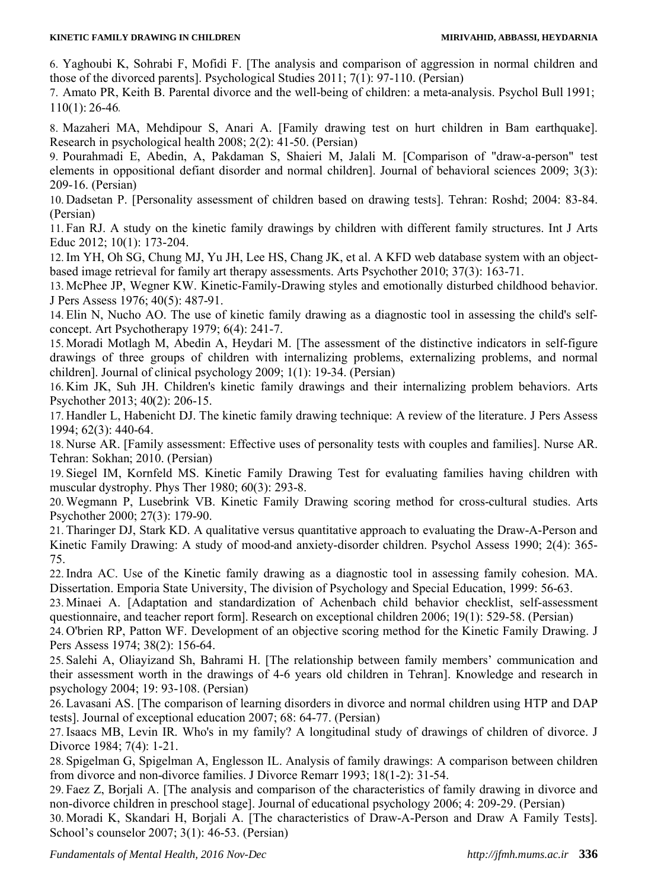#### **KINETIC FAMILY DRAWING IN CHILDREN MIRIVAHID, ABBASSI, HEYDARNIA**

6. Yaghoubi K, Sohrabi F, Mofidi F. [The analysis and comparison of aggression in normal children and those of the divorced parents]. Psychological Studies 2011; 7(1): 97-110. (Persian)

7. Amato PR, Keith B. Parental divorce and the well-being of children: a meta-analysis. Psychol Bull 1991; 110(1): 26-46.

8. Mazaheri MA, Mehdipour S, Anari A. [Family drawing test on hurt children in Bam earthquake]. Research in psychological health 2008; 2(2): 41-50. (Persian)

9. Pourahmadi E, Abedin, A, Pakdaman S, Shaieri M, Jalali M. [Comparison of "draw-a-person" test elements in oppositional defiant disorder and normal children]. Journal of behavioral sciences 2009; 3(3): 209-16. (Persian)

10. Dadsetan P. [Personality assessment of children based on drawing tests]. Tehran: Roshd; 2004: 83-84. (Persian)

11. Fan RJ. A study on the kinetic family drawings by children with different family structures. Int J Arts Educ 2012; 10(1): 173-204.

12.Im YH, Oh SG, Chung MJ, Yu JH, Lee HS, Chang JK, et al. A KFD web database system with an objectbased image retrieval for family art therapy assessments. Arts Psychother 2010; 37(3): 163-71.

13. McPhee JP, Wegner KW. Kinetic-Family-Drawing styles and emotionally disturbed childhood behavior. J Pers Assess 1976; 40(5): 487-91.

14. Elin N, Nucho AO. The use of kinetic family drawing as a diagnostic tool in assessing the child's selfconcept. Art Psychotherapy 1979; 6(4): 241-7.

15. Moradi Motlagh M, Abedin A, Heydari M. [The assessment of the distinctive indicators in self-figure drawings of three groups of children with internalizing problems, externalizing problems, and normal children]. Journal of clinical psychology 2009; 1(1): 19-34. (Persian)

16. Kim JK, Suh JH. Children's kinetic family drawings and their internalizing problem behaviors. Arts Psychother 2013; 40(2): 206-15.

17. Handler L, Habenicht DJ. The kinetic family drawing technique: A review of the literature. J Pers Assess 1994; 62(3): 440-64.

18. Nurse AR. [Family assessment: Effective uses of personality tests with couples and families]. Nurse AR. Tehran: Sokhan; 2010. (Persian)

19. Siegel IM, Kornfeld MS. Kinetic Family Drawing Test for evaluating families having children with muscular dystrophy. Phys Ther 1980; 60(3): 293-8.

20. Wegmann P, Lusebrink VB. Kinetic Family Drawing scoring method for cross-cultural studies. Arts Psychother 2000; 27(3): 179-90.

21. Tharinger DJ, Stark KD. A qualitative versus quantitative approach to evaluating the Draw-A-Person and Kinetic Family Drawing: A study of mood-and anxiety-disorder children. Psychol Assess 1990; 2(4): 365- 75.

22.Indra AC. Use of the Kinetic family drawing as a diagnostic tool in assessing family cohesion. MA. Dissertation. Emporia State University, The division of Psychology and Special Education, 1999: 56-63.

23. Minaei A. [Adaptation and standardization of Achenbach child behavior checklist, self-assessment questionnaire, and teacher report form]. Research on exceptional children 2006; 19(1): 529-58. (Persian)

24. O'brien RP, Patton WF. Development of an objective scoring method for the Kinetic Family Drawing. J Pers Assess 1974; 38(2): 156-64.

25. Salehi A, Oliayizand Sh, Bahrami H. [The relationship between family members' communication and their assessment worth in the drawings of 4-6 years old children in Tehran]. Knowledge and research in psychology 2004; 19: 93-108. (Persian)

26. Lavasani AS. [The comparison of learning disorders in divorce and normal children using HTP and DAP tests]. Journal of exceptional education 2007; 68: 64-77. (Persian)

27.Isaacs MB, Levin IR. Who's in my family? A longitudinal study of drawings of children of divorce. J Divorce 1984; 7(4): 1-21.

28. Spigelman G, Spigelman A, Englesson IL. Analysis of family drawings: A comparison between children from divorce and non-divorce families. J Divorce Remarr 1993; 18(1-2): 31-54.

29. Faez Z, Borjali A. [The analysis and comparison of the characteristics of family drawing in divorce and non-divorce children in preschool stage]. Journal of educational psychology 2006; 4: 209-29. (Persian)

30. Moradi K, Skandari H, Borjali A. [The characteristics of Draw-A-Person and Draw A Family Tests]. School's counselor 2007; 3(1): 46-53. (Persian)